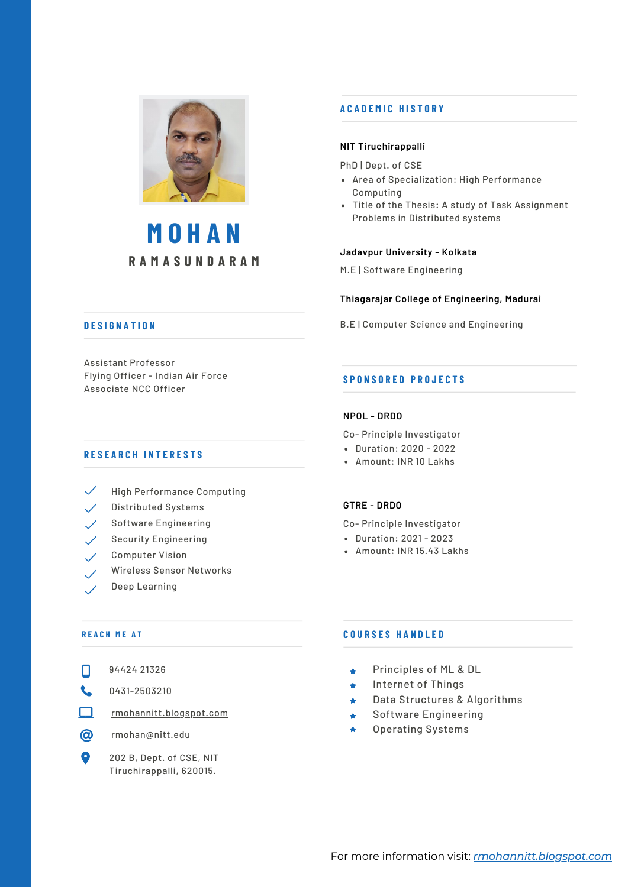

# **R A M A S U N D A R A M M O H A N**

# **A C A D E M I C H I S T O R Y**

# **NIT Tiruchirappalli**

PhD | Dept. of CSE

- Area of Specialization: High Performance Computing
- Title of the Thesis: A study of Task Assignment Problems in Distributed systems

# **Jadavpur University - Kolkata**

M.E | Software Engineering

# **Thiagarajar College of Engineering, Madurai**

B.E | Computer Science and Engineering

# **D E S I G N A T I O N**

Assistant Professor Flying Officer - Indian Air Force Associate NCC Officer

# **R E S E A R C H I N T E R E S T S**

- $\checkmark$  High Performance Computing
- $\checkmark$  Distributed Systems
- Software Engineering  $\mathscr{S}$
- $\angle$  Security Engineering
- Computer Vision
- Wireless Sensor Networks
- Deep Learning

# **R E A C H M E A T**

- 0431-2503210  $\mathbf{C}$
- $\Box$ [rmohannitt.blogspot.com](http://rmohannitt.blogspot.com/)
- $\circledcirc$ rmohan@nitt.edu
- 202 B, Dept. of CSE, NIT  $\bullet$ Tiruchirappalli, 620015.

# **NPOL - DRDO**

**S P O N S O R E D P R O J E C T S**

- Co- Principle Investigator
- Duration: 2020 2022
- Amount: INR 10 Lakhs

# **GTRE - DRDO**

Co- Principle Investigator

- Duration: 2021 2023
- Amount: INR 15.43 Lakhs

# **C O U R S E S H A N D L E D**

- Principles of ML & DL  $\bigstar$
- Internet of Things  $\ddot{\bullet}$
- Data Structures & Algorithms  $\bigstar$
- Software Engineering  $\bigstar$
- Operating Systems  $\blacktriangle$

- 
- 
- 
-